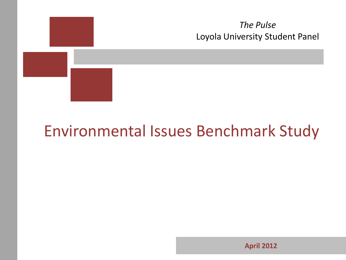

**April 2012**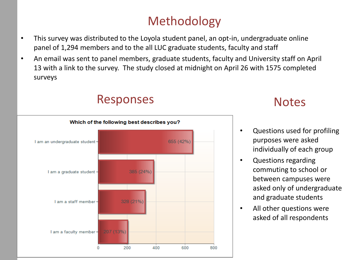## Methodology

- This survey was distributed to the Loyola student panel, an opt-in, undergraduate online panel of 1,294 members and to the all LUC graduate students, faculty and staff
- An email was sent to panel members, graduate students, faculty and University staff on April 13 with a link to the survey. The study closed at midnight on April 26 with 1575 completed surveys

### Responses



### **Notes**

- Questions used for profiling purposes were asked individually of each group
- Questions regarding commuting to school or between campuses were asked only of undergraduate and graduate students
- All other questions were asked of all respondents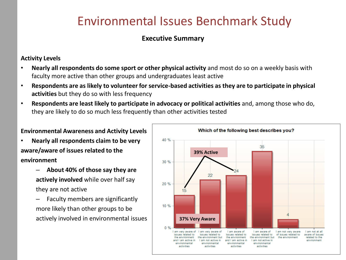#### **Executive Summary**

#### **Activity Levels**

- **Nearly all respondents do some sport or other physical activity** and most do so on a weekly basis with faculty more active than other groups and undergraduates least active
- **Respondents are as likely to volunteer for service-based activities as they are to participate in physical activities** but they do so with less frequency
- **Respondents are least likely to participate in advocacy or political activities** and, among those who do, they are likely to do so much less frequently than other activities tested

#### **Environmental Awareness and Activity Levels**

- **Nearly all respondents claim to be very aware/aware of issues related to the environment**
	- **About 40% of those say they are actively involved** while over half say they are not active
	- Faculty members are significantly more likely than other groups to be actively involved in environmental issues

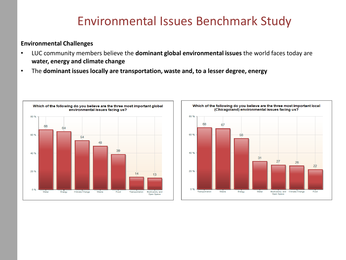#### **Environmental Challenges**

- LUC community members believe the **dominant global environmental issues** the world faces today are **water, energy and climate change**
- The **dominant issues locally are transportation, waste and, to a lesser degree, energy**



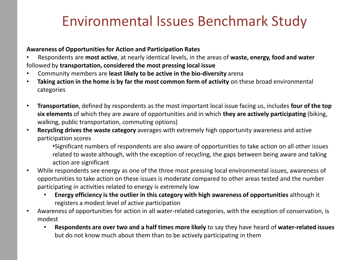#### **Awareness of Opportunities for Action and Participation Rates**

- Respondents are **most active**, at nearly identical levels, in the areas of **waste, energy, food and water**  followed by **transportation, considered the most pressing local issue**
- Community members are **least likely to be active in the bio-diversity** arena
- **Taking action in the home is by far the most common form of activity** on these broad environmental categories
- **Transportation**, defined by respondents as the most important local issue facing us, includes **four of the top six elements** of which they are aware of opportunities and in which **they are actively participating** (biking, walking, public transportation, commuting options)
- **Recycling drives the waste category** averages with extremely high opportunity awareness and active participation scores
	- •Significant numbers of respondents are also aware of opportunities to take action on all other issues related to waste although, with the exception of recycling, the gaps between being aware and taking action are significant
- While respondents see energy as one of the three most pressing local environmental issues, awareness of opportunities to take action on these issues is moderate compared to other areas tested and the number participating in activities related to energy is extremely low
	- **Energy efficiency is the outlier in this category with high awareness of opportunities** although it registers a modest level of active participation
- Awareness of opportunities for action in all water-related categories, with the exception of conservation, is modest
	- **Respondents are over two and a half times more likely** to say they have heard of **water-related issues**  but do not know much about them than to be actively participating in them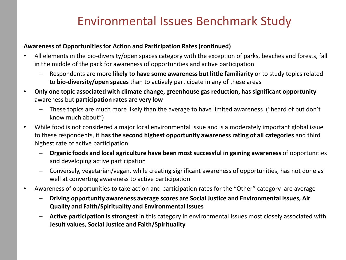#### **Awareness of Opportunities for Action and Participation Rates (continued)**

- All elements in the bio-diversity/open spaces category with the exception of parks, beaches and forests, fall in the middle of the pack for awareness of opportunities and active participation
	- Respondents are more **likely to have some awareness but little familiarity** or to study topics related to **bio-diversity/open spaces** than to actively participate in any of these areas
- **Only one topic associated with climate change, greenhouse gas reduction, has significant opportunity**  awareness but **participation rates are very low**
	- These topics are much more likely than the average to have limited awareness ("heard of but don't know much about")
- While food is not considered a major local environmental issue and is a moderately important global issue to these respondents, it **has the second highest opportunity awareness rating of all categories** and third highest rate of active participation
	- **Organic foods and local agriculture have been most successful in gaining awareness** of opportunities and developing active participation
	- Conversely, vegetarian/vegan, while creating significant awareness of opportunities, has not done as well at converting awareness to active participation
- Awareness of opportunities to take action and participation rates for the "Other" category are average
	- **Driving opportunity awareness average scores are Social Justice and Environmental Issues, Air Quality and Faith/Spirituality and Environmental Issues**
	- **Active participation is strongest** in this category in environmental issues most closely associated with **Jesuit values, Social Justice and Faith/Spirituality**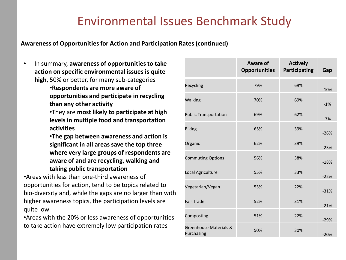**Awareness of Opportunities for Action and Participation Rates (continued)**

• In summary, **awareness of opportunities to take action on specific environmental issues is quite high**, 50% or better, for many sub-categories

> •**Respondents are more aware of opportunities and participate in recycling than any other activity**

•They are **most likely to participate at high levels in multiple food and transportation activities** 

•**The gap between awareness and action is significant in all areas save the top three where very large groups of respondents are aware of and are recycling, walking and taking public transportation**

•Areas with less than one-third awareness of opportunities for action, tend to be topics related to bio-diversity and, while the gaps are no larger than with higher awareness topics, the participation levels are quite low

•Areas with the 20% or less awareness of opportunities to take action have extremely low participation rates

|                                      | Aware of<br><b>Opportunities</b> | <b>Actively</b><br>Participating | Gap    |
|--------------------------------------|----------------------------------|----------------------------------|--------|
| Recycling                            | 79%                              | 69%                              | $-10%$ |
| Walking                              | 70%                              | 69%                              | $-1%$  |
| <b>Public Transportation</b>         | 69%                              | 62%                              | $-7%$  |
| <b>Biking</b>                        | 65%                              | 39%                              | $-26%$ |
| Organic                              | 62%                              | 39%                              | $-23%$ |
| <b>Commuting Options</b>             | 56%                              | 38%                              | $-18%$ |
| Local Agriculture                    | 55%                              | 33%                              | $-22%$ |
| Vegetarian/Vegan                     | 53%                              | 22%                              | $-31%$ |
| <b>Fair Trade</b>                    | 52%                              | 31%                              | $-21%$ |
| Composting                           | 51%                              | 22%                              | $-29%$ |
| Greenhouse Materials &<br>Purchasing | 50%                              | 30%                              | $-20%$ |